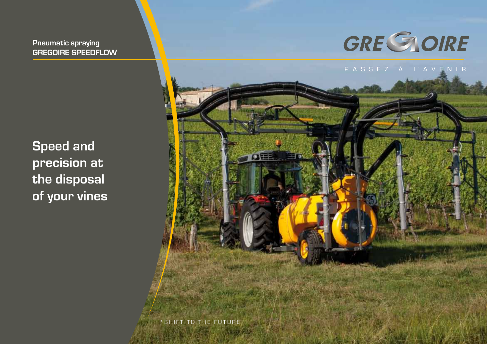**Pneumatic spraying GREGOIRE SPEEDFLOW**